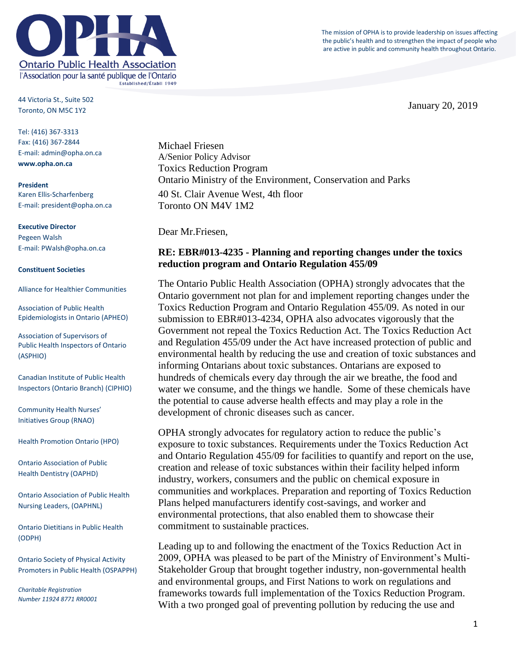The mission of OPHA is to provide leadership on issues affecting the public's health and to strengthen the impact of people who are active in public and community health throughout Ontario.



44 Victoria St., Suite 502 Toronto, ON M5C 1Y2

Tel: (416) 367-3313 Fax: (416) 367-2844 E-mail: admin@opha.on.ca **www.opha.on.ca**

**President** Karen Ellis-Scharfenberg E-mail: president@opha.on.ca

#### **Executive Director** Pegeen Walsh E-mail: PWalsh@opha.on.ca

#### **Constituent Societies**

Alliance for Healthier Communities

Association of Public Health Epidemiologists in Ontario (APHEO)

Association of Supervisors of Public Health Inspectors of Ontario (ASPHIO)

Canadian Institute of Public Health Inspectors (Ontario Branch) (CIPHIO)

Community Health Nurses' Initiatives Group (RNAO)

Health Promotion Ontario (HPO)

Ontario Association of Public Health Dentistry (OAPHD)

Ontario Association of Public Health Nursing Leaders, (OAPHNL)

Ontario Dietitians in Public Health (ODPH)

Ontario Society of Physical Activity Promoters in Public Health (OSPAPPH)

*Charitable Registration Number 11924 8771 RR0001* Michael Friesen A/Senior Policy Advisor Toxics Reduction Program Ontario Ministry of the Environment, Conservation and Parks 40 St. Clair Avenue West, 4th floor Toronto ON M4V 1M2

Dear Mr.Friesen,

## **RE: EBR#013-4235 - Planning and reporting changes under the toxics reduction program and Ontario Regulation 455/09**

The Ontario Public Health Association (OPHA) strongly advocates that the Ontario government not plan for and implement reporting changes under the Toxics Reduction Program and Ontario Regulation 455/09. As noted in our submission to EBR#013-4234, OPHA also advocates vigorously that the Government not repeal the Toxics Reduction Act. The Toxics Reduction Act and Regulation 455/09 under the Act have increased protection of public and environmental health by reducing the use and creation of toxic substances and informing Ontarians about toxic substances. Ontarians are exposed to hundreds of chemicals every day through the air we breathe, the food and water we consume, and the things we handle. Some of these chemicals have the potential to cause adverse health effects and may play a role in the development of chronic diseases such as cancer.

OPHA strongly advocates for regulatory action to reduce the public's exposure to toxic substances. Requirements under the Toxics Reduction Act and Ontario Regulation 455/09 for facilities to quantify and report on the use, creation and release of toxic substances within their facility helped inform industry, workers, consumers and the public on chemical exposure in communities and workplaces. Preparation and reporting of Toxics Reduction Plans helped manufacturers identify cost-savings, and worker and environmental protections, that also enabled them to showcase their commitment to sustainable practices.

Leading up to and following the enactment of the Toxics Reduction Act in 2009, OPHA was pleased to be part of the Ministry of Environment's Multi-Stakeholder Group that brought together industry, non-governmental health and environmental groups, and First Nations to work on regulations and frameworks towards full implementation of the Toxics Reduction Program. With a two pronged goal of preventing pollution by reducing the use and

January 20, 2019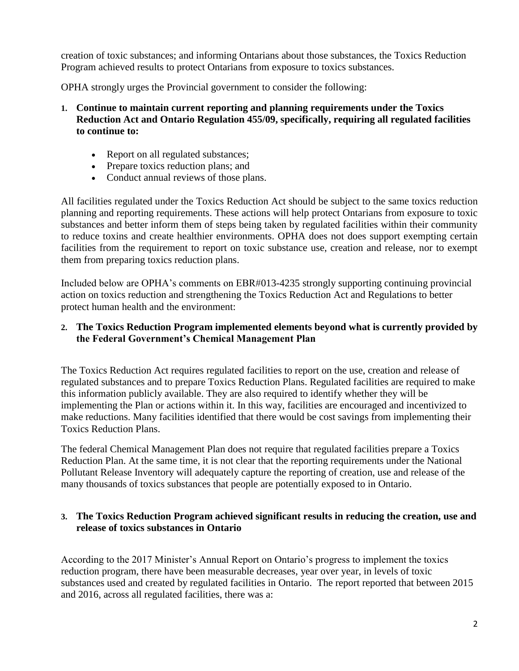creation of toxic substances; and informing Ontarians about those substances, the Toxics Reduction Program achieved results to protect Ontarians from exposure to toxics substances.

OPHA strongly urges the Provincial government to consider the following:

- **1. Continue to maintain current reporting and planning requirements under the Toxics Reduction Act and Ontario Regulation 455/09, specifically, requiring all regulated facilities to continue to:**
	- Report on all regulated substances;
	- Prepare toxics reduction plans; and
	- Conduct annual reviews of those plans.

All facilities regulated under the Toxics Reduction Act should be subject to the same toxics reduction planning and reporting requirements. These actions will help protect Ontarians from exposure to toxic substances and better inform them of steps being taken by regulated facilities within their community to reduce toxins and create healthier environments. OPHA does not does support exempting certain facilities from the requirement to report on toxic substance use, creation and release, nor to exempt them from preparing toxics reduction plans.

Included below are OPHA's comments on EBR#013-4235 strongly supporting continuing provincial action on toxics reduction and strengthening the Toxics Reduction Act and Regulations to better protect human health and the environment:

# **2. The Toxics Reduction Program implemented elements beyond what is currently provided by the Federal Government's Chemical Management Plan**

The Toxics Reduction Act requires regulated facilities to report on the use, creation and release of regulated substances and to prepare Toxics Reduction Plans. Regulated facilities are required to make this information publicly available. They are also required to identify whether they will be implementing the Plan or actions within it. In this way, facilities are encouraged and incentivized to make reductions. Many facilities identified that there would be cost savings from implementing their Toxics Reduction Plans.

The federal Chemical Management Plan does not require that regulated facilities prepare a Toxics Reduction Plan. At the same time, it is not clear that the reporting requirements under the National Pollutant Release Inventory will adequately capture the reporting of creation, use and release of the many thousands of toxics substances that people are potentially exposed to in Ontario.

### **3. The Toxics Reduction Program achieved significant results in reducing the creation, use and release of toxics substances in Ontario**

According to the 2017 Minister's Annual Report on Ontario's progress to implement the toxics reduction program, there have been measurable decreases, year over year, in levels of toxic substances used and created by regulated facilities in Ontario. The report reported that between 2015 and 2016, across all regulated facilities, there was a: